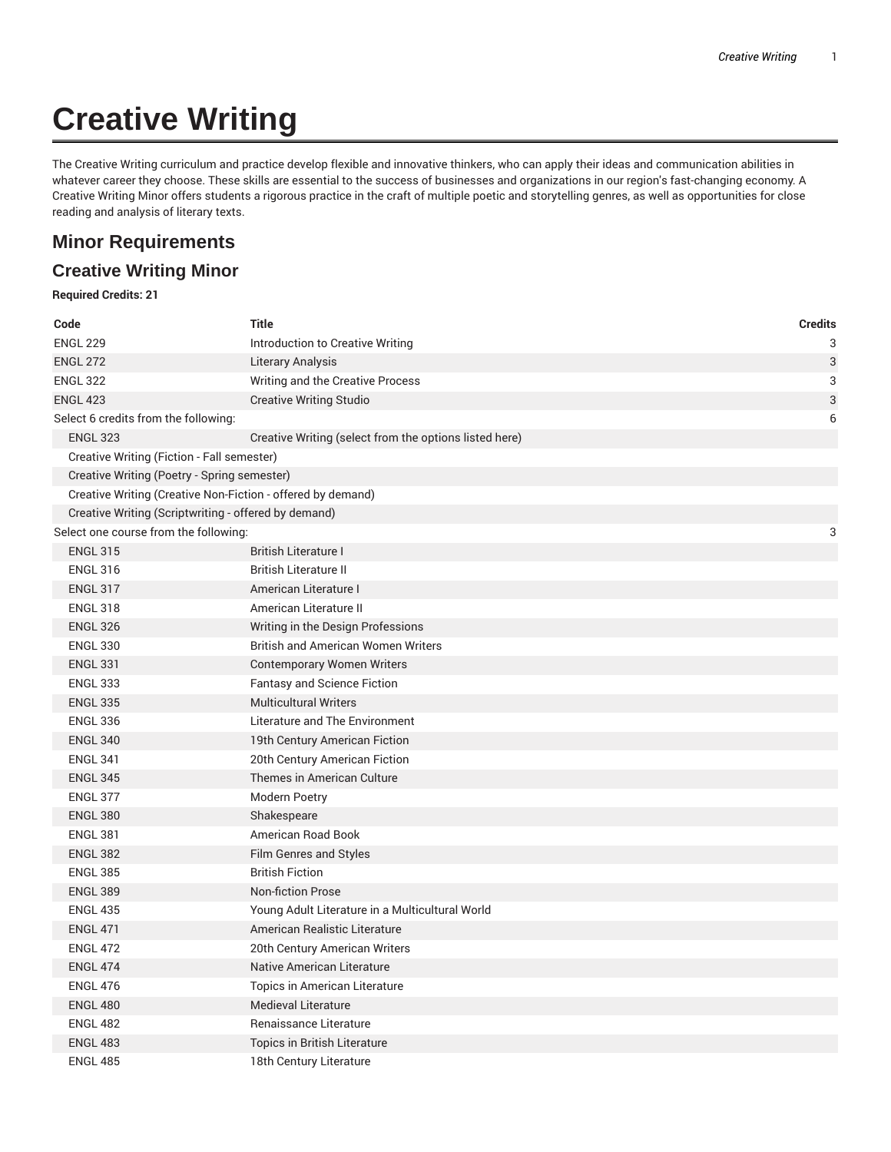# **Creative Writing**

The Creative Writing curriculum and practice develop flexible and innovative thinkers, who can apply their ideas and communication abilities in whatever career they choose. These skills are essential to the success of businesses and organizations in our region's fast-changing economy. A Creative Writing Minor offers students a rigorous practice in the craft of multiple poetic and storytelling genres, as well as opportunities for close reading and analysis of literary texts.

## **Minor Requirements**

### **Creative Writing Minor**

#### **Required Credits: 21**

| Code                                                        | <b>Title</b>                                           | <b>Credits</b> |
|-------------------------------------------------------------|--------------------------------------------------------|----------------|
| <b>ENGL 229</b>                                             | Introduction to Creative Writing                       | 3              |
| <b>ENGL 272</b>                                             | Literary Analysis                                      | $\mathbf{3}$   |
| <b>ENGL 322</b>                                             | Writing and the Creative Process                       | 3              |
| <b>ENGL 423</b>                                             | <b>Creative Writing Studio</b>                         | 3              |
| Select 6 credits from the following:                        |                                                        | 6              |
| <b>ENGL 323</b>                                             | Creative Writing (select from the options listed here) |                |
| Creative Writing (Fiction - Fall semester)                  |                                                        |                |
| Creative Writing (Poetry - Spring semester)                 |                                                        |                |
| Creative Writing (Creative Non-Fiction - offered by demand) |                                                        |                |
| Creative Writing (Scriptwriting - offered by demand)        |                                                        |                |
| Select one course from the following:                       |                                                        | 3              |
| <b>ENGL 315</b>                                             | <b>British Literature I</b>                            |                |
| <b>ENGL 316</b>                                             | <b>British Literature II</b>                           |                |
| <b>ENGL 317</b>                                             | American Literature I                                  |                |
| <b>ENGL 318</b>                                             | American Literature II                                 |                |
| <b>ENGL 326</b>                                             | Writing in the Design Professions                      |                |
| <b>ENGL 330</b>                                             | <b>British and American Women Writers</b>              |                |
| <b>ENGL 331</b>                                             | <b>Contemporary Women Writers</b>                      |                |
| <b>ENGL 333</b>                                             | Fantasy and Science Fiction                            |                |
| <b>ENGL 335</b>                                             | <b>Multicultural Writers</b>                           |                |
| <b>ENGL 336</b>                                             | Literature and The Environment                         |                |
| <b>ENGL 340</b>                                             | 19th Century American Fiction                          |                |
| <b>ENGL 341</b>                                             | 20th Century American Fiction                          |                |
| <b>ENGL 345</b>                                             | Themes in American Culture                             |                |
| <b>ENGL 377</b>                                             | Modern Poetry                                          |                |
| <b>ENGL 380</b>                                             | Shakespeare                                            |                |
| <b>ENGL 381</b>                                             | American Road Book                                     |                |
| <b>ENGL 382</b>                                             | Film Genres and Styles                                 |                |
| <b>ENGL 385</b>                                             | <b>British Fiction</b>                                 |                |
| <b>ENGL 389</b>                                             | <b>Non-fiction Prose</b>                               |                |
| <b>ENGL 435</b>                                             | Young Adult Literature in a Multicultural World        |                |
| <b>ENGL 471</b>                                             | American Realistic Literature                          |                |
| <b>ENGL 472</b>                                             | 20th Century American Writers                          |                |
| <b>ENGL 474</b>                                             | Native American Literature                             |                |
| <b>ENGL 476</b>                                             | <b>Topics in American Literature</b>                   |                |
| <b>ENGL 480</b>                                             | <b>Medieval Literature</b>                             |                |
| <b>ENGL 482</b>                                             | Renaissance Literature                                 |                |
| <b>ENGL 483</b>                                             | Topics in British Literature                           |                |
| <b>ENGL 485</b>                                             | 18th Century Literature                                |                |